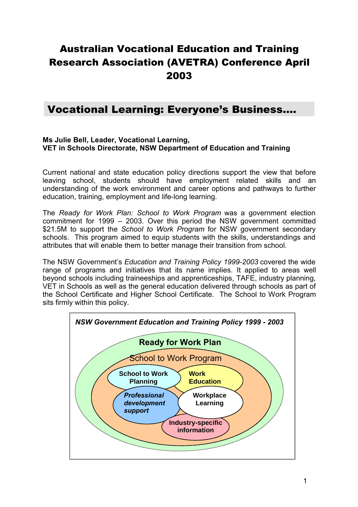# Australian Vocational Education and Training Research Association (AVETRA) Conference April 2003

## Vocational Learning: Everyone's Business….

#### **Ms Julie Bell, Leader, Vocational Learning, VET in Schools Directorate, NSW Department of Education and Training**

Current national and state education policy directions support the view that before leaving school, students should have employment related skills and an understanding of the work environment and career options and pathways to further education, training, employment and life-long learning.

The *Ready for Work Plan: School to Work Program* was a government election commitment for 1999 – 2003. Over this period the NSW government committed \$21.5M to support the *School to Work Program* for NSW government secondary schools. This program aimed to equip students with the skills, understandings and attributes that will enable them to better manage their transition from school.

The NSW Government's *Education and Training Policy 1999-2003* covered the wide range of programs and initiatives that its name implies. It applied to areas well beyond schools including traineeships and apprenticeships, TAFE, industry planning, VET in Schools as well as the general education delivered through schools as part of the School Certificate and Higher School Certificate. The School to Work Program sits firmly within this policy.

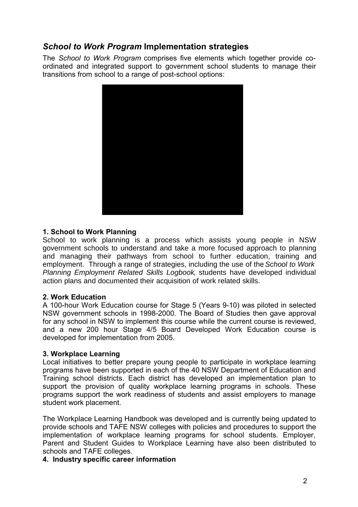## *School to Work Program* **Implementation strategies**

The *School to Work Program* comprises five elements which together provide coordinated and integrated support to government school students to manage their transitions from school to a range of post-school options:



#### **1. School to Work Planning**

School to work planning is a process which assists young people in NSW government schools to understand and take a more focused approach to planning and managing their pathways from school to further education, training and employment. Through a range of strategies, including the use of the School to Work Planning Employment Related Skills Logbook, students have developed individual action plans and documented their acquisition of work related skills.

#### **2. Work Education**

A 100-hour Work Education course for Stage 5 (Years 9-10) was piloted in selected NSW government schools in 1998-2000. The Board of Studies then gave approval for any school in NSW to implement this course while the current course is reviewed, and a new 200 hour Stage 4/5 Board Developed Work Education course is developed for implementation from 2005.

#### **3. Workplace Learning**

Local initiatives to better prepare young people to participate in workplace learning programs have been supported in each of the 40 NSW Department of Education and Training school districts. Each district has developed an implementation plan to support the provision of quality workplace learning programs in schools. These programs support the work readiness of students and assist employers to manage student work placement.

The Workplace Learning Handbook was developed and is currently being updated to provide schools and TAFE NSW colleges with policies and procedures to support the implementation of workplace learning programs for school students. Employer, Parent and Student Guides to Workplace Learning have also been distributed to schools and TAFE colleges.

#### **4. Industry specific career information**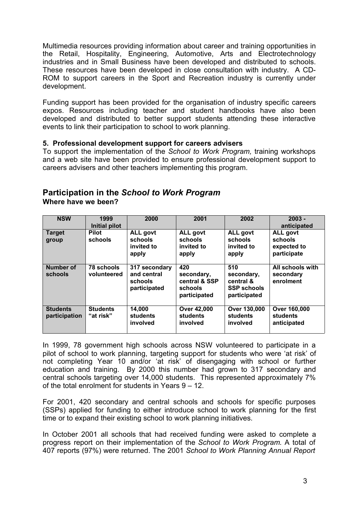Multimedia resources providing information about career and training opportunities in the Retail, Hospitality, Engineering, Automotive, Arts and Electrotechnology industries and in Small Business have been developed and distributed to schools. These resources have been developed in close consultation with industry. A CD-ROM to support careers in the Sport and Recreation industry is currently under development.

Funding support has been provided for the organisation of industry specific careers expos. Resources including teacher and student handbooks have also been developed and distributed to better support students attending these interactive events to link their participation to school to work planning.

#### **5. Professional development support for careers advisers**

To support the implementation of the *School to Work Program,* training workshops and a web site have been provided to ensure professional development support to careers advisers and other teachers implementing this program.

#### **Participation in the** *School to Work Program* **Where have we been?**

| <b>NSW</b>                       | 1999<br>Initial pilot        | 2000                                                    | 2001                                                          | 2002                                                                 | $2003 -$<br>anticipated                                  |
|----------------------------------|------------------------------|---------------------------------------------------------|---------------------------------------------------------------|----------------------------------------------------------------------|----------------------------------------------------------|
| <b>Target</b><br>group           | <b>Pilot</b><br>schools      | <b>ALL govt</b><br>schools<br>invited to<br>apply       | <b>ALL govt</b><br>schools<br>invited to<br>apply             | <b>ALL govt</b><br>schools<br>invited to<br>apply                    | <b>ALL govt</b><br>schools<br>expected to<br>participate |
| Number of<br>schools             | 78 schools<br>volunteered    | 317 secondary<br>and central<br>schools<br>participated | 420<br>secondary,<br>central & SSP<br>schools<br>participated | 510<br>secondary,<br>central &<br><b>SSP schools</b><br>participated | All schools with<br>secondary<br>enrolment               |
| <b>Students</b><br>participation | <b>Students</b><br>"at risk" | 14,000<br>students<br>involved                          | <b>Over 42,000</b><br>students<br>involved                    | Over 130,000<br>students<br>involved                                 | Over 160,000<br>students<br>anticipated                  |

In 1999, 78 government high schools across NSW volunteered to participate in a pilot of school to work planning, targeting support for students who were 'at risk' of not completing Year 10 and/or 'at risk' of disengaging with school or further education and training. By 2000 this number had grown to 317 secondary and central schools targeting over 14,000 students. This represented approximately 7% of the total enrolment for students in Years 9 – 12.

For 2001, 420 secondary and central schools and schools for specific purposes (SSPs) applied for funding to either introduce school to work planning for the first time or to expand their existing school to work planning initiatives.

In October 2001 all schools that had received funding were asked to complete a progress report on their implementation of the *School to Work Program*. A total of 407 reports (97%) were returned. The 2001 *School to Work Planning Annual Report*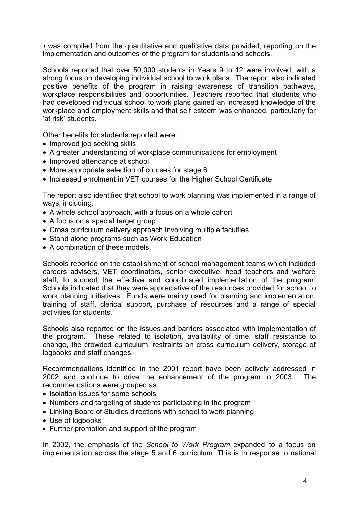*<sup>1</sup>* was compiled from the quantitative and qualitative data provided, reporting on the implementation and outcomes of the program for students and schools.

Schools reported that over 50,000 students in Years 9 to 12 were involved, with a strong focus on developing individual school to work plans. The report also indicated positive benefits of the program in raising awareness of transition pathways, workplace responsibilities and opportunities. Teachers reported that students who had developed individual school to work plans gained an increased knowledge of the workplace and employment skills and that self esteem was enhanced, particularly for 'at risk' students.

Other benefits for students reported were:

- Improved job seeking skills
- A greater understanding of workplace communications for employment
- Improved attendance at school
- More appropriate selection of courses for stage 6
- Increased enrolment in VET courses for the Higher School Certificate

The report also identified that school to work planning was implemented in a range of ways, including:

- A whole school approach, with a focus on a whole cohort
- A focus on a special target group
- Cross curriculum delivery approach involving multiple faculties
- Stand alone programs such as Work Education
- A combination of these models.

Schools reported on the establishment of school management teams which included careers advisers, VET coordinators, senior executive, head teachers and welfare staff, to support the effective and coordinated implementation of the program. Schools indicated that they were appreciative of the resources provided for school to work planning initiatives. Funds were mainly used for planning and implementation, training of staff, clerical support, purchase of resources and a range of special activities for students.

Schools also reported on the issues and barriers associated with implementation of the program. These related to isolation, availability of time, staff resistance to change, the crowded curriculum, restraints on cross curriculum delivery, storage of logbooks and staff changes.

Recommendations identified in the 2001 report have been actively addressed in 2002 and continue to drive the enhancement of the program in 2003. The recommendations were grouped as:

- Isolation issues for some schools
- Numbers and targeting of students participating in the program
- Linking Board of Studies directions with school to work planning
- Use of logbooks
- Further promotion and support of the program

In 2002, the emphasis of the *School to Work Program* expanded to a focus on implementation across the stage 5 and 6 curriculum. This is in response to national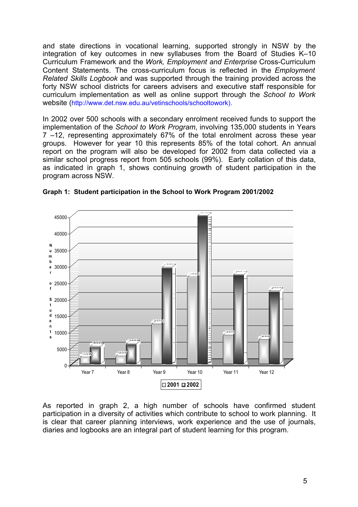and state directions in vocational learning, supported strongly in NSW by the integration of key outcomes in new syllabuses from the Board of Studies K–10 Curriculum Framework and the *Work, Employment and Enterprise* Cross-Curriculum Content Statements. The cross-curriculum focus is reflected in the *Employment Related Skills Logbook* and was supported through the training provided across the forty NSW school districts for careers advisers and executive staff responsible for curriculum implementation as well as online support through the *School to Work* website (http://www.det.nsw.edu.au/vetinschools/schooltowork).

In 2002 over 500 schools with a secondary enrolment received funds to support the implementation of the *School to Work Program*, involving 135,000 students in Years 7 –12, representing approximately 67% of the total enrolment across these year groups. However for year 10 this represents 85% of the total cohort. An annual report on the program will also be developed for 2002 from data collected via a similar school progress report from 505 schools (99%). Early collation of this data, as indicated in graph 1, shows continuing growth of student participation in the program across NSW.



**Graph 1: Student participation in the School to Work Program 2001/2002**

As reported in graph 2, a high number of schools have confirmed student participation in a diversity of activities which contribute to school to work planning. It is clear that career planning interviews, work experience and the use of journals, diaries and logbooks are an integral part of student learning for this program.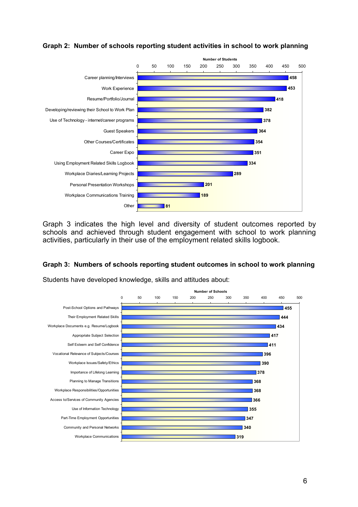

#### **Graph 2: Number of schools reporting student activities in school to work planning**

Graph 3 indicates the high level and diversity of student outcomes reported by schools and achieved through student engagement with school to work planning activities, particularly in their use of the employment related skills logbook.

#### **Graph 3: Numbers of schools reporting student outcomes in school to work planning**

Students have developed knowledge, skills and attitudes about:

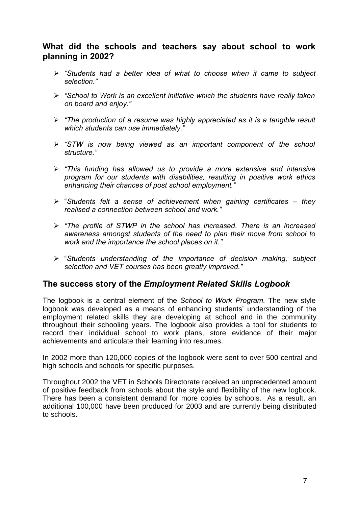## **What did the schools and teachers say about school to work planning in 2002?**

- *"Students had a better idea of what to choose when it came to subject selection."*
- *"School to Work is an excellent initiative which the students have really taken on board and enjoy."*
- *"The production of a resume was highly appreciated as it is a tangible result which students can use immediately."*
- *"STW is now being viewed as an important component of the school structure."*
- *"This funding has allowed us to provide a more extensive and intensive program for our students with disabilities, resulting in positive work ethics enhancing their chances of post school employment."*
- "*Students felt a sense of achievement when gaining certificates – they realised a connection between school and work."*
- *"The profile of STWP in the school has increased. There is an increased awareness amongst students of the need to plan their move from school to work and the importance the school places on it."*
- "*Students understanding of the importance of decision making, subject selection and VET courses has been greatly improved."*

## **The success story of the** *Employment Related Skills Logbook*

The logbook is a central element of the *School to Work Program*. The new style logbook was developed as a means of enhancing students' understanding of the employment related skills they are developing at school and in the community throughout their schooling years. The logbook also provides a tool for students to record their individual school to work plans, store evidence of their major achievements and articulate their learning into resumes.

In 2002 more than 120,000 copies of the logbook were sent to over 500 central and high schools and schools for specific purposes.

Throughout 2002 the VET in Schools Directorate received an unprecedented amount of positive feedback from schools about the style and flexibility of the new logbook. There has been a consistent demand for more copies by schools. As a result, an additional 100,000 have been produced for 2003 and are currently being distributed to schools.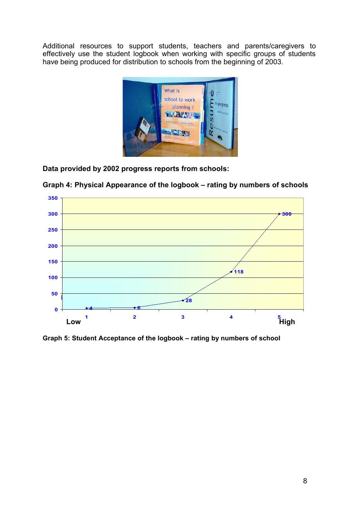Additional resources to support students, teachers and parents/caregivers to effectively use the student logbook when working with specific groups of students have being produced for distribution to schools from the beginning of 2003.



**Data provided by 2002 progress reports from schools:**



**Graph 4: Physical Appearance of the logbook – rating by numbers of schools**

**Graph 5: Student Acceptance of the logbook – rating by numbers of school**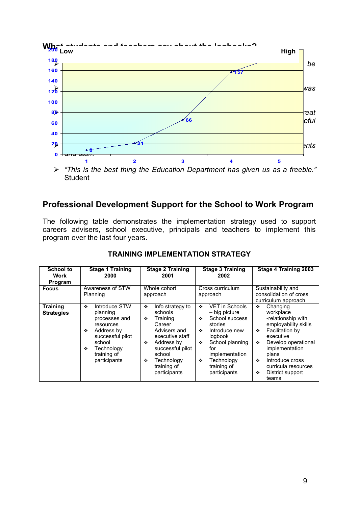

## **Professional Development Support for the School to Work Program**

The following table demonstrates the implementation strategy used to support careers advisers, school executive, principals and teachers to implement this program over the last four years.

| School to<br>Work<br>Program         | <b>Stage 1 Training</b><br>2000                                                                                                                                 | <b>Stage 2 Training</b><br>2001                                                                                                                                                                   | <b>Stage 3 Training</b><br>2002                                                                                                                                                                                           | Stage 4 Training 2003                                                                                                                                                                                                                                 |  |
|--------------------------------------|-----------------------------------------------------------------------------------------------------------------------------------------------------------------|---------------------------------------------------------------------------------------------------------------------------------------------------------------------------------------------------|---------------------------------------------------------------------------------------------------------------------------------------------------------------------------------------------------------------------------|-------------------------------------------------------------------------------------------------------------------------------------------------------------------------------------------------------------------------------------------------------|--|
| <b>Focus</b>                         | Awareness of STW<br>Planning                                                                                                                                    | Whole cohort<br>approach                                                                                                                                                                          | Cross curriculum<br>approach                                                                                                                                                                                              | Sustainability and<br>consolidation of cross<br>curriculum approach                                                                                                                                                                                   |  |
| <b>Training</b><br><b>Strategies</b> | Introduce STW<br>٠<br>planning<br>processes and<br>resources<br>Address by<br>❖<br>successful pilot<br>school<br>Technology<br>٠<br>training of<br>participants | Info strategy to<br>❖<br>schools<br>Training<br>❖<br>Career<br>Advisers and<br>executive staff<br>Address by<br>٠<br>successful pilot<br>school<br>Technology<br>❖<br>training of<br>participants | <b>VET in Schools</b><br>÷<br>– big picture<br>School success<br>÷<br>stories<br>Introduce new<br>$\bullet$<br>logbook<br>School planning<br>÷<br>for<br>implementation<br>Technology<br>÷<br>training of<br>participants | Changing<br>❖<br>workplace<br>-relationship with<br>employability skills<br>Facilitation by<br>٠<br>executive<br>Develop operational<br>٠<br>implementation<br>plans<br>Introduce cross<br>❖<br>curricula resources<br>District support<br>❖<br>teams |  |

#### **TRAINING IMPLEMENTATION STRATEGY**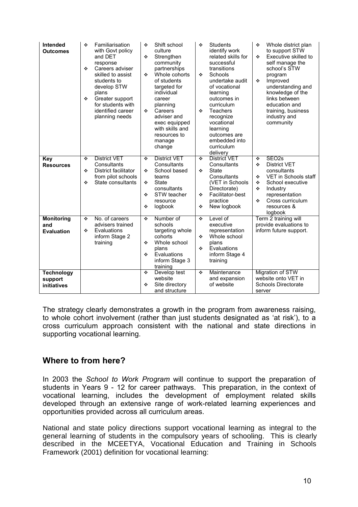| Intended<br><b>Outcomes</b>                   | ❖<br>٠<br>❖ | Familiarisation<br>with Govt policy<br>and DET<br>response<br>Careers adviser<br>skilled to assist<br>students to<br>develop STW<br>plans<br>Greater support<br>for students with<br>identified career<br>planning needs | ❖<br>❖<br>÷<br>❖      | Shift school<br>culture<br>Strengthen<br>community<br>partnerships<br>Whole cohorts<br>of students<br>targeted for<br>individual<br>career<br>planning<br>Careers<br>adviser and<br>exec equipped<br>with skills and<br>resources to<br>manage<br>change | ❖<br>÷<br>❖              | <b>Students</b><br>identify work<br>related skills for<br>successful<br>transitions<br>Schools<br>undertake audit<br>of vocational<br>learning<br>outcomes in<br>curriculum<br><b>Teachers</b><br>recognize<br>vocational<br>learning<br>outcomes are<br>embedded into<br>curriculum<br>delivery | ٠<br>❖<br>❖                | Whole district plan<br>to support STW<br>Executive skilled to<br>self manage the<br>school's STW<br>program<br>Improved<br>understanding and<br>knowledge of the<br>links between<br>education and<br>training, business<br>industry and<br>community |
|-----------------------------------------------|-------------|--------------------------------------------------------------------------------------------------------------------------------------------------------------------------------------------------------------------------|-----------------------|----------------------------------------------------------------------------------------------------------------------------------------------------------------------------------------------------------------------------------------------------------|--------------------------|--------------------------------------------------------------------------------------------------------------------------------------------------------------------------------------------------------------------------------------------------------------------------------------------------|----------------------------|-------------------------------------------------------------------------------------------------------------------------------------------------------------------------------------------------------------------------------------------------------|
| <b>Key</b><br><b>Resources</b>                | ❖<br>❖<br>❖ | <b>District VET</b><br>Consultants<br>District facilitator<br>from pilot schools<br>State consultants                                                                                                                    | ❖<br>❖<br>❖<br>❖<br>٠ | <b>District VET</b><br>Consultants<br>School based<br>teams<br><b>State</b><br>consultants<br>STW teacher<br>resource<br>logbook                                                                                                                         | ❖<br>❖<br>❖<br>❖         | <b>District VET</b><br>Consultants<br><b>State</b><br>Consultants<br>(VET in Schools<br>Directorate)<br>Facilitator-best<br>practice<br>New logbook                                                                                                                                              | ٠<br>❖<br>❖<br>٠<br>❖<br>÷ | SEO <sub>2s</sub><br><b>District VET</b><br>consultants<br>VET in Schools staff<br>School executive<br>Industry<br>representation<br>Cross curriculum<br>resources &<br>logbook                                                                       |
| <b>Monitoring</b><br>and<br><b>Evaluation</b> | ❖<br>❖      | No. of careers<br>advisers trained<br>Evaluations<br>inform Stage 2<br>training                                                                                                                                          | ❖<br>❖<br>٠           | Number of<br>schools<br>targeting whole<br>cohorts<br>Whole school<br>plans<br>Evaluations<br>inform Stage 3<br>training                                                                                                                                 | $\ddot{\cdot}$<br>❖<br>❖ | Level of<br>executive<br>representation<br>Whole school<br>plans<br>Evaluations<br>inform Stage 4<br>training                                                                                                                                                                                    |                            | Term 2 training will<br>provide evaluations to<br>inform future support.                                                                                                                                                                              |
| <b>Technology</b><br>support<br>initiatives   |             |                                                                                                                                                                                                                          | ٠<br>❖                | Develop test<br>website<br>Site directory<br>and structure                                                                                                                                                                                               | ÷                        | Maintenance<br>and expansion<br>of website                                                                                                                                                                                                                                                       | server                     | Migration of STW<br>website onto VET in<br><b>Schools Directorate</b>                                                                                                                                                                                 |

The strategy clearly demonstrates a growth in the program from awareness raising, to whole cohort involvement (rather than just students designated as 'at risk'), to a cross curriculum approach consistent with the national and state directions in supporting vocational learning.

## **Where to from here?**

In 2003 the *School to Work Program* will continue to support the preparation of students in Years 9 - 12 for career pathways. This preparation, in the context of vocational learning, includes the development of employment related skills developed through an extensive range of work-related learning experiences and opportunities provided across all curriculum areas.

National and state policy directions support vocational learning as integral to the general learning of students in the compulsory years of schooling. This is clearly described in the MCEETYA, Vocational Education and Training in Schools Framework (2001) definition for vocational learning: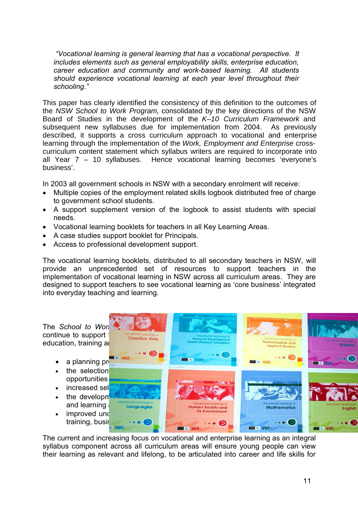*"Vocational learning is general learning that has a vocational perspective. It includes elements such as general employability skills, enterprise education, career education and community and work-based learning. All students should experience vocational learning at each year level throughout their schooling."*

This paper has clearly identified the consistency of this definition to the outcomes of the NSW School to Work Program, consolidated by the key directions of the NSW Board of Studies in the development of the K–10 Curriculum Framework and subsequent new syllabuses due for implementation from 2004. As previously described, it supports a cross curriculum approach to vocational and enterprise learning through the implementation of the Work, Employment and Enterprise crosscurriculum content statement which syllabus writers are required to incorporate into all Year 7 – 10 syllabuses. Hence vocational learning becomes 'everyone's business'.

In 2003 all government schools in NSW with a secondary enrolment will receive:

- Multiple copies of the employment related skills logbook distributed free of charge to government school students.
- A support supplement version of the logbook to assist students with special needs.
- Vocational learning booklets for teachers in all Key Learning Areas.
- A case studies support booklet for Principals.
- Access to professional development support.

The vocational learning booklets, distributed to all secondary teachers in NSW, will provide an unprecedented set of resources to support teachers in the implementation of vocational learning in NSW across all curriculum areas. They are designed to support teachers to see vocational learning as 'core business' integrated into everyday teaching and learning.



The current and increasing focus on vocational and enterprise learning as an integral syllabus component across all curriculum areas will ensure young people can view their learning as relevant and lifelong, to be articulated into career and life skills for